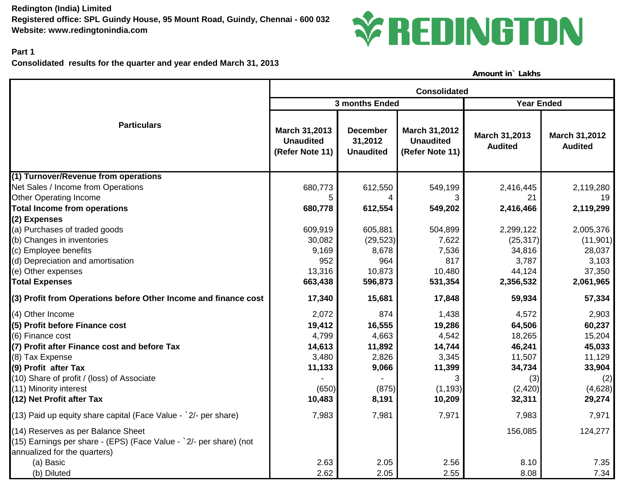**Redington (India) Limited Registered office: SPL Guindy House, 95 Mount Road, Guindy, Chennai - 600 032 Website: www.redingtonindia.com**



## **Part 1**

**Consolidated results for the quarter and year ended March 31, 2013**

**Amount in` Lakhs**

|                                                                                                                                          | <b>Consolidated</b>                                  |                                                |                                                             |                                 |                                        |  |
|------------------------------------------------------------------------------------------------------------------------------------------|------------------------------------------------------|------------------------------------------------|-------------------------------------------------------------|---------------------------------|----------------------------------------|--|
|                                                                                                                                          |                                                      | 3 months Ended                                 | <b>Year Ended</b>                                           |                                 |                                        |  |
| <b>Particulars</b>                                                                                                                       | March 31,2013<br><b>Unaudited</b><br>(Refer Note 11) | <b>December</b><br>31,2012<br><b>Unaudited</b> | <b>March 31,2012</b><br><b>Unaudited</b><br>(Refer Note 11) | March 31,2013<br><b>Audited</b> | <b>March 31,2012</b><br><b>Audited</b> |  |
| (1) Turnover/Revenue from operations                                                                                                     |                                                      |                                                |                                                             |                                 |                                        |  |
| Net Sales / Income from Operations                                                                                                       | 680,773                                              | 612,550                                        | 549,199                                                     | 2,416,445                       | 2,119,280                              |  |
| <b>Other Operating Income</b>                                                                                                            |                                                      | 4                                              | 3                                                           | 21                              | 19                                     |  |
| <b>Total Income from operations</b>                                                                                                      | 680,778                                              | 612,554                                        | 549,202                                                     | 2,416,466                       | 2,119,299                              |  |
| (2) Expenses                                                                                                                             |                                                      |                                                |                                                             |                                 |                                        |  |
| (a) Purchases of traded goods                                                                                                            | 609,919                                              | 605,881                                        | 504,899                                                     | 2,299,122                       | 2,005,376                              |  |
| (b) Changes in inventories                                                                                                               | 30,082                                               | (29, 523)                                      | 7,622                                                       | (25, 317)                       | (11, 901)                              |  |
| (c) Employee benefits                                                                                                                    | 9,169                                                | 8,678                                          | 7,536                                                       | 34,816                          | 28,037                                 |  |
| (d) Depreciation and amortisation                                                                                                        | 952                                                  | 964                                            | 817                                                         | 3,787                           | 3,103                                  |  |
| (e) Other expenses                                                                                                                       | 13,316                                               | 10,873                                         | 10,480                                                      | 44,124                          | 37,350                                 |  |
| <b>Total Expenses</b>                                                                                                                    | 663,438                                              | 596,873                                        | 531,354                                                     | 2,356,532                       | 2,061,965                              |  |
| (3) Profit from Operations before Other Income and finance cost                                                                          | 17,340                                               | 15,681                                         | 17,848                                                      | 59,934                          | 57,334                                 |  |
| (4) Other Income                                                                                                                         | 2,072                                                | 874                                            | 1,438                                                       | 4,572                           | 2,903                                  |  |
| (5) Profit before Finance cost                                                                                                           | 19,412                                               | 16,555                                         | 19,286                                                      | 64,506                          | 60,237                                 |  |
| (6) Finance cost                                                                                                                         | 4,799                                                | 4,663                                          | 4,542                                                       | 18,265                          | 15,204                                 |  |
| (7) Profit after Finance cost and before Tax                                                                                             | 14,613                                               | 11,892                                         | 14,744                                                      | 46,241                          | 45,033                                 |  |
| (8) Tax Expense                                                                                                                          | 3,480                                                | 2,826                                          | 3,345                                                       | 11,507                          | 11,129                                 |  |
| (9) Profit after Tax                                                                                                                     | 11,133                                               | 9,066                                          | 11,399                                                      | 34,734                          | 33,904                                 |  |
| (10) Share of profit / (loss) of Associate                                                                                               |                                                      |                                                | 3                                                           | (3)                             | (2)                                    |  |
| (11) Minority interest                                                                                                                   | (650)                                                | (875)                                          | (1, 193)                                                    | (2,420)                         | (4,628)                                |  |
| (12) Net Profit after Tax                                                                                                                | 10,483                                               | 8,191                                          | 10,209                                                      | 32,311                          | 29,274                                 |  |
| (13) Paid up equity share capital (Face Value - `2/- per share)                                                                          | 7,983                                                | 7,981                                          | 7,971                                                       | 7,983                           | 7,971                                  |  |
| (14) Reserves as per Balance Sheet<br>(15) Earnings per share - (EPS) (Face Value - `2/- per share) (not<br>annualized for the quarters) |                                                      |                                                |                                                             | 156,085                         | 124,277                                |  |
| (a) Basic                                                                                                                                | 2.63                                                 | 2.05                                           | 2.56                                                        | 8.10                            | 7.35                                   |  |
| (b) Diluted                                                                                                                              | 2.62                                                 | 2.05                                           | 2.55                                                        | 8.08                            | 7.34                                   |  |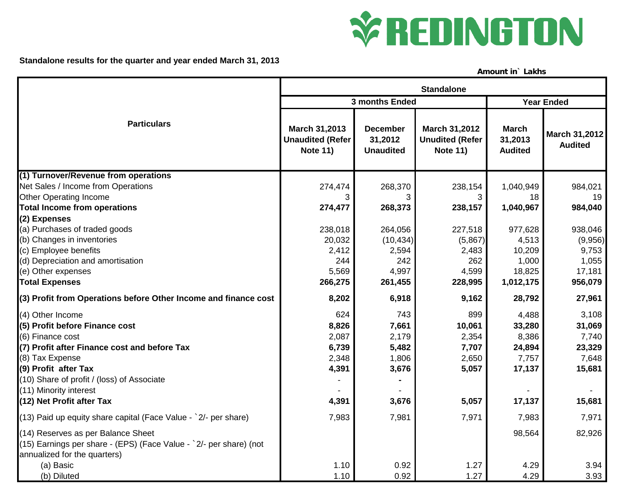

**Standalone results for the quarter and year ended March 31, 2013**

**Amount in` Lakhs**

|                                                                                                                                          | <b>Standalone</b>                                            |                                                |                                                            |                                           |                                        |  |  |
|------------------------------------------------------------------------------------------------------------------------------------------|--------------------------------------------------------------|------------------------------------------------|------------------------------------------------------------|-------------------------------------------|----------------------------------------|--|--|
|                                                                                                                                          |                                                              | 3 months Ended                                 | <b>Year Ended</b>                                          |                                           |                                        |  |  |
| <b>Particulars</b>                                                                                                                       | March 31,2013<br><b>Unaudited (Refer)</b><br><b>Note 11)</b> | <b>December</b><br>31,2012<br><b>Unaudited</b> | March 31,2012<br><b>Unudited (Refer</b><br><b>Note 11)</b> | <b>March</b><br>31,2013<br><b>Audited</b> | <b>March 31,2012</b><br><b>Audited</b> |  |  |
| (1) Turnover/Revenue from operations                                                                                                     |                                                              |                                                |                                                            |                                           |                                        |  |  |
| Net Sales / Income from Operations                                                                                                       | 274,474                                                      | 268,370                                        | 238,154                                                    | 1,040,949                                 | 984,021                                |  |  |
| <b>Other Operating Income</b>                                                                                                            | 3                                                            | 3                                              | 3                                                          | 18                                        | 19                                     |  |  |
| <b>Total Income from operations</b>                                                                                                      | 274,477                                                      | 268,373                                        | 238,157                                                    | 1,040,967                                 | 984,040                                |  |  |
| (2) Expenses                                                                                                                             |                                                              |                                                |                                                            |                                           |                                        |  |  |
| (a) Purchases of traded goods                                                                                                            | 238,018                                                      | 264,056                                        | 227,518                                                    | 977,628                                   | 938,046                                |  |  |
| (b) Changes in inventories                                                                                                               | 20,032                                                       | (10, 434)                                      | (5,867)                                                    | 4,513                                     | (9,956)                                |  |  |
| (c) Employee benefits                                                                                                                    | 2,412                                                        | 2,594                                          | 2,483                                                      | 10,209                                    | 9,753                                  |  |  |
| (d) Depreciation and amortisation                                                                                                        | 244                                                          | 242                                            | 262                                                        | 1,000                                     | 1,055                                  |  |  |
| (e) Other expenses                                                                                                                       | 5,569                                                        | 4,997                                          | 4,599                                                      | 18,825                                    | 17,181                                 |  |  |
| <b>Total Expenses</b>                                                                                                                    | 266,275                                                      | 261,455                                        | 228,995                                                    | 1,012,175                                 | 956,079                                |  |  |
| (3) Profit from Operations before Other Income and finance cost                                                                          | 8,202                                                        | 6,918                                          | 9,162                                                      | 28,792                                    | 27,961                                 |  |  |
| (4) Other Income                                                                                                                         | 624                                                          | 743                                            | 899                                                        | 4,488                                     | 3,108                                  |  |  |
| (5) Profit before Finance cost                                                                                                           | 8,826                                                        | 7,661                                          | 10,061                                                     | 33,280                                    | 31,069                                 |  |  |
| (6) Finance cost                                                                                                                         | 2,087                                                        | 2,179                                          | 2,354                                                      | 8,386                                     | 7,740                                  |  |  |
| (7) Profit after Finance cost and before Tax                                                                                             | 6,739                                                        | 5,482                                          | 7,707                                                      | 24,894                                    | 23,329                                 |  |  |
| (8) Tax Expense                                                                                                                          | 2,348                                                        | 1,806                                          | 2,650                                                      | 7,757                                     | 7,648                                  |  |  |
| (9) Profit after Tax                                                                                                                     | 4,391                                                        | 3,676                                          | 5,057                                                      | 17,137                                    | 15,681                                 |  |  |
| (10) Share of profit / (loss) of Associate                                                                                               |                                                              |                                                |                                                            |                                           |                                        |  |  |
| (11) Minority interest                                                                                                                   |                                                              |                                                |                                                            |                                           |                                        |  |  |
| (12) Net Profit after Tax                                                                                                                | 4,391                                                        | 3,676                                          | 5,057                                                      | 17,137                                    | 15,681                                 |  |  |
| $(13)$ Paid up equity share capital (Face Value - $2/-$ per share)                                                                       | 7,983                                                        | 7,981                                          | 7,971                                                      | 7,983                                     | 7,971                                  |  |  |
| (14) Reserves as per Balance Sheet<br>(15) Earnings per share - (EPS) (Face Value - `2/- per share) (not<br>annualized for the quarters) |                                                              |                                                |                                                            | 98,564                                    | 82,926                                 |  |  |
| (a) Basic                                                                                                                                | 1.10                                                         | 0.92                                           | 1.27                                                       | 4.29                                      | 3.94                                   |  |  |
| (b) Diluted                                                                                                                              | 1.10                                                         | 0.92                                           | 1.27                                                       | 4.29                                      | 3.93                                   |  |  |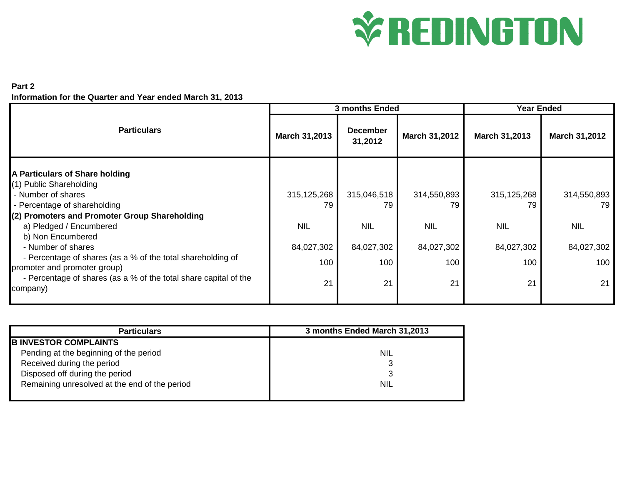## **VEDINGTON**

## **Part 2 Information for the Quarter and Year ended March 31, 2013**

| <b>3 months Ended</b> |                            |                      | <b>Year Ended</b> |                     |
|-----------------------|----------------------------|----------------------|-------------------|---------------------|
| March 31,2013         | <b>December</b><br>31,2012 | <b>March 31,2012</b> | March 31,2013     | March 31,2012       |
|                       |                            |                      |                   |                     |
|                       |                            |                      |                   |                     |
|                       |                            |                      |                   | 314,550,893<br>79   |
|                       |                            |                      |                   |                     |
| <b>NIL</b>            | <b>NIL</b>                 | <b>NIL</b>           | <b>NIL</b>        | <b>NIL</b>          |
|                       |                            |                      |                   |                     |
| 84,027,302            | 84,027,302                 | 84,027,302           | 84,027,302        | 84,027,302          |
| 100                   | 100                        | 100                  | 100               | 100                 |
| 21                    | 21                         | 21                   | 21                | 21                  |
|                       | 315, 125, 268<br>79        | 315,046,518<br>79    | 314,550,893<br>79 | 315, 125, 268<br>79 |

| <b>Particulars</b>                            | 3 months Ended March 31,2013 |  |  |  |
|-----------------------------------------------|------------------------------|--|--|--|
| <b>B INVESTOR COMPLAINTS</b>                  |                              |  |  |  |
| Pending at the beginning of the period        | NIL                          |  |  |  |
| Received during the period                    |                              |  |  |  |
| Disposed off during the period                |                              |  |  |  |
| Remaining unresolved at the end of the period | NIL                          |  |  |  |
|                                               |                              |  |  |  |